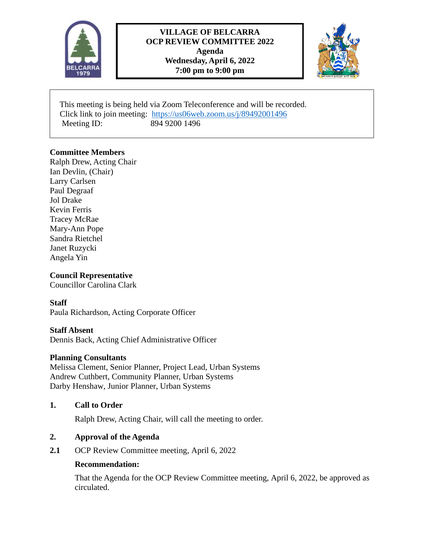

## **VILLAGE OF BELCARRA OCP REVIEW COMMITTEE 2022 Agenda Wednesday, April 6, 2022 7:00 pm to 9:00 pm**



 This meeting is being held via Zoom Teleconference and will be recorded. Click link to join meeting: <https://us06web.zoom.us/j/89492001496> Meeting ID: 894 9200 1496

## **Committee Members**

Ralph Drew, Acting Chair Ian Devlin, (Chair) Larry Carlsen Paul Degraaf Jol Drake Kevin Ferris Tracey McRae Mary-Ann Pope Sandra Rietchel Janet Ruzycki Angela Yin

## **Council Representative**

Councillor Carolina Clark

#### **Staff**

Paula Richardson, Acting Corporate Officer

#### **Staff Absent**

Dennis Back, Acting Chief Administrative Officer

#### **Planning Consultants**

Melissa Clement, Senior Planner, Project Lead, Urban Systems Andrew Cuthbert, Community Planner, Urban Systems Darby Henshaw, Junior Planner, Urban Systems

## **1. Call to Order**

Ralph Drew, Acting Chair, will call the meeting to order.

#### **2. Approval of the Agenda**

2.1 OCP Review Committee meeting, April 6, 2022

#### **Recommendation:**

That the Agenda for the OCP Review Committee meeting, April 6, 2022, be approved as circulated.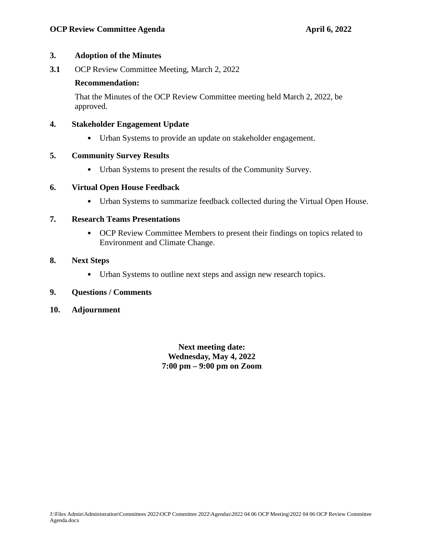#### **3. Adoption of the Minutes**

**3.1** OCP Review Committee Meeting, March 2, 2022

#### **Recommendation:**

That the Minutes of the OCP Review Committee meeting held March 2, 2022, be approved.

## **4. Stakeholder Engagement Update**

• Urban Systems to provide an update on stakeholder engagement.

## **5. Community Survey Results**

• Urban Systems to present the results of the Community Survey.

## **6. Virtual Open House Feedback**

• Urban Systems to summarize feedback collected during the Virtual Open House.

## **7. Research Teams Presentations**

• OCP Review Committee Members to present their findings on topics related to Environment and Climate Change.

## **8. Next Steps**

• Urban Systems to outline next steps and assign new research topics.

#### **9. Questions / Comments**

#### **10. Adjournment**

**Next meeting date: Wednesday, May 4, 2022 7:00 pm – 9:00 pm on Zoom**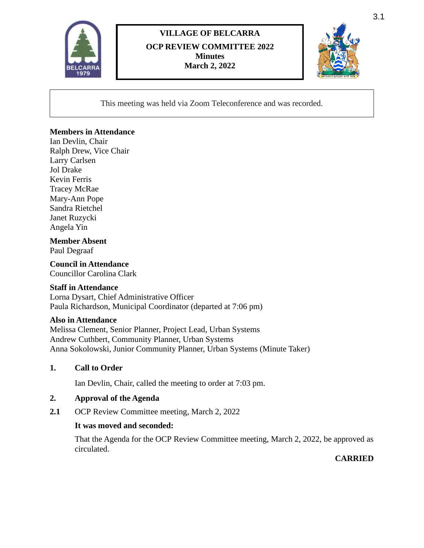

# **VILLAGE OF BELCARRA OCP REVIEW COMMITTEE 2022 Minutes March 2, 2022**



This meeting was held via Zoom Teleconference and was recorded.

## **Members in Attendance**

Ian Devlin, Chair Ralph Drew, Vice Chair Larry Carlsen Jol Drake Kevin Ferris Tracey McRae Mary-Ann Pope Sandra Rietchel Janet Ruzycki Angela Yin

## **Member Absent**

Paul Degraaf

## **Council in Attendance**

Councillor Carolina Clark

#### **Staff in Attendance**

Lorna Dysart, Chief Administrative Officer Paula Richardson, Municipal Coordinator (departed at 7:06 pm)

#### **Also in Attendance**

Melissa Clement, Senior Planner, Project Lead, Urban Systems Andrew Cuthbert, Community Planner, Urban Systems Anna Sokolowski, Junior Community Planner, Urban Systems (Minute Taker)

#### **1. Call to Order**

Ian Devlin, Chair, called the meeting to order at 7:03 pm.

#### **2. Approval of the Agenda**

**2.1** OCP Review Committee meeting, March 2, 2022

#### **It was moved and seconded:**

That the Agenda for the OCP Review Committee meeting, March 2, 2022, be approved as circulated.

## **CARRIED**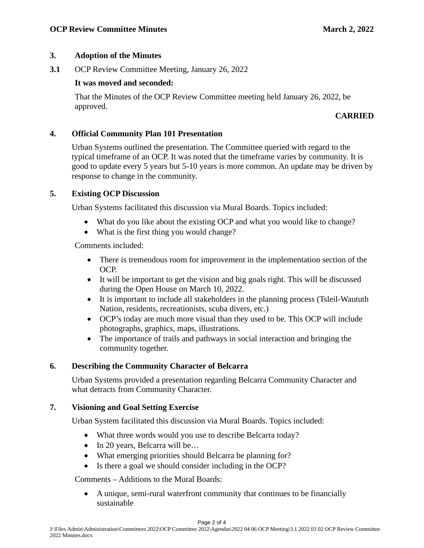## **3. Adoption of the Minutes**

**3.1** OCP Review Committee Meeting, January 26, 2022

## **It was moved and seconded:**

That the Minutes of the OCP Review Committee meeting held January 26, 2022, be approved.

## **CARRIED**

## **4. Official Community Plan 101 Presentation**

Urban Systems outlined the presentation. The Committee queried with regard to the typical timeframe of an OCP. It was noted that the timeframe varies by community. It is good to update every 5 years but 5-10 years is more common. An update may be driven by response to change in the community.

## **5. Existing OCP Discussion**

Urban Systems facilitated this discussion via Mural Boards. Topics included:

- What do you like about the existing OCP and what you would like to change?
- What is the first thing you would change?

Comments included:

- There is tremendous room for improvement in the implementation section of the OCP.
- It will be important to get the vision and big goals right. This will be discussed during the Open House on March 10, 2022.
- It is important to include all stakeholders in the planning process (Tsleil-Waututh Nation, residents, recreationists, scuba divers, etc.)
- OCP's today are much more visual than they used to be. This OCP will include photographs, graphics, maps, illustrations.
- The importance of trails and pathways in social interaction and bringing the community together.

#### **6. Describing the Community Character of Belcarra**

Urban Systems provided a presentation regarding Belcarra Community Character and what detracts from Community Character.

## **7. Visioning and Goal Setting Exercise**

Urban System facilitated this discussion via Mural Boards. Topics included:

- What three words would you use to describe Belcarra today?
- In 20 years, Belcarra will be...
- What emerging priorities should Belcarra be planning for?
- Is there a goal we should consider including in the OCP?

Comments – Additions to the Mural Boards:

• A unique, semi-rural waterfront community that continues to be financially sustainable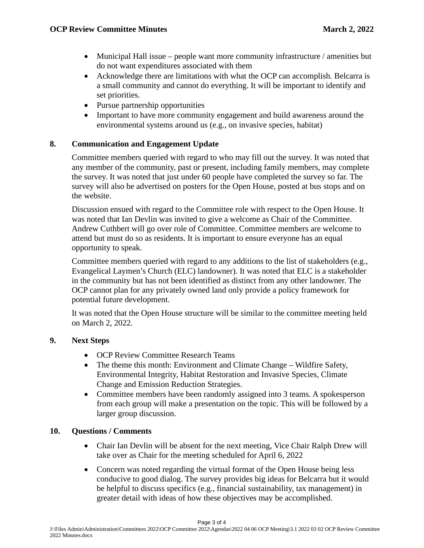- Municipal Hall issue people want more community infrastructure / amenities but do not want expenditures associated with them
- Acknowledge there are limitations with what the OCP can accomplish. Belcarra is a small community and cannot do everything. It will be important to identify and set priorities.
- Pursue partnership opportunities
- Important to have more community engagement and build awareness around the environmental systems around us (e.g., on invasive species, habitat)

## **8. Communication and Engagement Update**

Committee members queried with regard to who may fill out the survey. It was noted that any member of the community, past or present, including family members, may complete the survey. It was noted that just under 60 people have completed the survey so far. The survey will also be advertised on posters for the Open House, posted at bus stops and on the website.

Discussion ensued with regard to the Committee role with respect to the Open House. It was noted that Ian Devlin was invited to give a welcome as Chair of the Committee. Andrew Cuthbert will go over role of Committee. Committee members are welcome to attend but must do so as residents. It is important to ensure everyone has an equal opportunity to speak.

Committee members queried with regard to any additions to the list of stakeholders (e.g., Evangelical Laymen's Church (ELC) landowner). It was noted that ELC is a stakeholder in the community but has not been identified as distinct from any other landowner. The OCP cannot plan for any privately owned land only provide a policy framework for potential future development.

It was noted that the Open House structure will be similar to the committee meeting held on March 2, 2022.

#### **9. Next Steps**

- OCP Review Committee Research Teams
- The theme this month: Environment and Climate Change Wildfire Safety, Environmental Integrity, Habitat Restoration and Invasive Species, Climate Change and Emission Reduction Strategies.
- Committee members have been randomly assigned into 3 teams. A spokesperson from each group will make a presentation on the topic. This will be followed by a larger group discussion.

#### **10. Questions / Comments**

- Chair Ian Devlin will be absent for the next meeting, Vice Chair Ralph Drew will take over as Chair for the meeting scheduled for April 6, 2022
- Concern was noted regarding the virtual format of the Open House being less conducive to good dialog. The survey provides big ideas for Belcarra but it would be helpful to discuss specifics (e.g., financial sustainability, tax management) in greater detail with ideas of how these objectives may be accomplished.